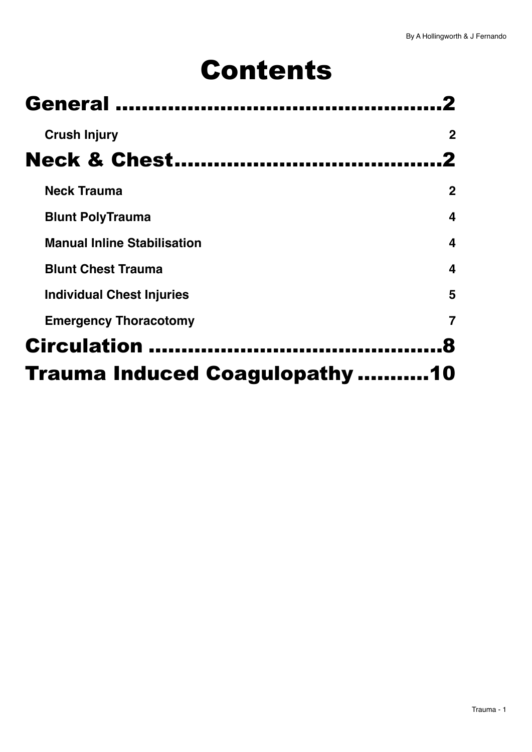# Contents

| <b>General</b>                        |              |
|---------------------------------------|--------------|
| <b>Crush Injury</b>                   | $\mathbf 2$  |
| <b>Neck &amp; Chest</b>               |              |
| <b>Neck Trauma</b>                    | $\mathbf{2}$ |
| <b>Blunt PolyTrauma</b>               | 4            |
| <b>Manual Inline Stabilisation</b>    | 4            |
| <b>Blunt Chest Trauma</b>             | 4            |
| <b>Individual Chest Injuries</b>      | 5            |
| <b>Emergency Thoracotomy</b>          |              |
| <b>Circulation</b>                    |              |
| <b>Trauma Induced Coagulopathy 10</b> |              |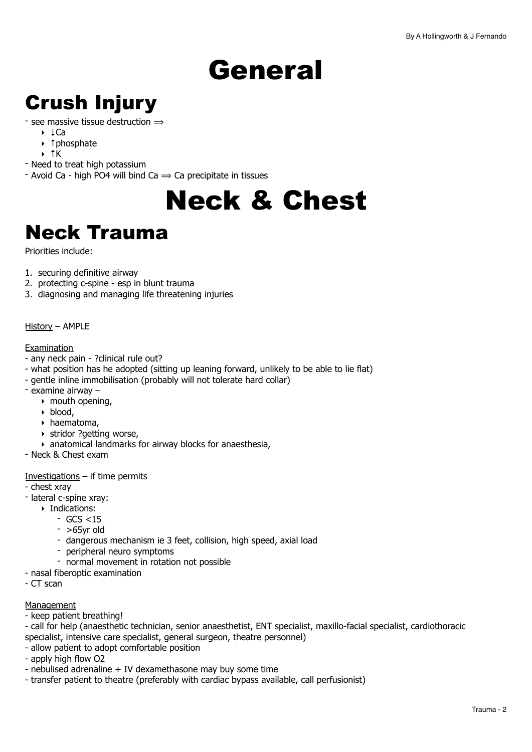# <span id="page-1-0"></span>General

# <span id="page-1-1"></span>Crush Injury

#### - see massive tissue destruction  $\Rightarrow$

- ‣ ↓Ca
- ‣ ↑phosphate
- ‣ ↑K
- Need to treat high potassium
- Avoid Ca high PO4 will bind Ca  $\Rightarrow$  Ca precipitate in tissues

# <span id="page-1-2"></span>Neck & Chest

# <span id="page-1-3"></span>Neck Trauma

Priorities include:

- 1. securing definitive airway
- 2. protecting c-spine esp in blunt trauma
- 3. diagnosing and managing life threatening injuries

#### History – AMPLE

#### **Examination**

- any neck pain ?clinical rule out?
- what position has he adopted (sitting up leaning forward, unlikely to be able to lie flat)
- gentle inline immobilisation (probably will not tolerate hard collar)
- examine airway
	- $\rightarrow$  mouth opening,
	- ‣ blood,
	- ‣ haematoma,
	- ‣ stridor ?getting worse,
	- ‣ anatomical landmarks for airway blocks for anaesthesia,
- Neck & Chest exam

Investigations  $-$  if time permits

- chest xray
- lateral c-spine xray:
	- ‣ Indications:
		- GCS <15
		- $-$  >65yr old
		- dangerous mechanism ie 3 feet, collision, high speed, axial load
		- peripheral neuro symptoms
		- normal movement in rotation not possible
- nasal fiberoptic examination
- CT scan

#### Management

- keep patient breathing!
- call for help (anaesthetic technician, senior anaesthetist, ENT specialist, maxillo-facial specialist, cardiothoracic specialist, intensive care specialist, general surgeon, theatre personnel)
- allow patient to adopt comfortable position
- apply high flow O2
- nebulised adrenaline + IV dexamethasone may buy some time
- transfer patient to theatre (preferably with cardiac bypass available, call perfusionist)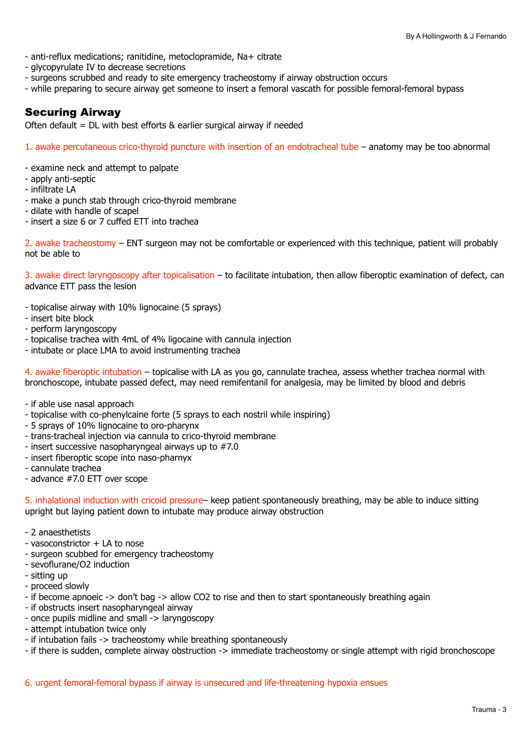- anti-reflux medications; ranitidine, metoclopramide, Na+ citrate
- glycopyrulate IV to decrease secretions
- surgeons scrubbed and ready to site emergency tracheostomy if airway obstruction occurs
- while preparing to secure airway get someone to insert a femoral vascath for possible femoral-femoral bypass

#### Securing Airway

Often default = DL with best efforts  $\&$  earlier surgical airway if needed

1. awake percutaneous crico-thyroid puncture with insertion of an endotracheal tube – anatomy may be too abnormal

- examine neck and attempt to palpate
- apply anti-septic
- infiltrate LA
- make a punch stab through crico-thyroid membrane
- dilate with handle of scapel
- insert a size 6 or 7 cuffed ETT into trachea

2. awake tracheostomy – ENT surgeon may not be comfortable or experienced with this technique, patient will probably not be able to

3. awake direct laryngoscopy after topicalisation – to facilitate intubation, then allow fiberoptic examination of defect, can advance ETT pass the lesion

- topicalise airway with 10% lignocaine (5 sprays)
- insert bite block
- perform laryngoscopy
- topicalise trachea with 4mL of 4% ligocaine with cannula injection
- intubate or place LMA to avoid instrumenting trachea

4. awake fiberoptic intubation – topicalise with LA as you go, cannulate trachea, assess whether trachea normal with bronchoscope, intubate passed defect, may need remifentanil for analgesia, may be limited by blood and debris

- if able use nasal approach
- topicalise with co-phenylcaine forte (5 sprays to each nostril while inspiring)
- 5 sprays of 10% lignocaine to oro-pharynx
- trans-tracheal injection via cannula to crico-thyroid membrane
- insert successive nasopharyngeal airways up to #7.0
- insert fiberoptic scope into naso-pharnyx
- cannulate trachea
- advance #7.0 ETT over scope

5. inhalational induction with cricoid pressure– keep patient spontaneously breathing, may be able to induce sitting upright but laying patient down to intubate may produce airway obstruction

- 2 anaesthetists
- vasoconstrictor + LA to nose
- surgeon scubbed for emergency tracheostomy
- sevoflurane/O2 induction
- sitting up
- proceed slowly
- if become apnoeic -> don't bag -> allow CO2 to rise and then to start spontaneously breathing again
- if obstructs insert nasopharyngeal airway
- once pupils midline and small -> laryngoscopy
- attempt intubation twice only
- if intubation fails -> tracheostomy while breathing spontaneously
- if there is sudden, complete airway obstruction -> immediate tracheostomy or single attempt with rigid bronchoscope

6. urgent femoral-femoral bypass if airway is unsecured and life-threatening hypoxia ensues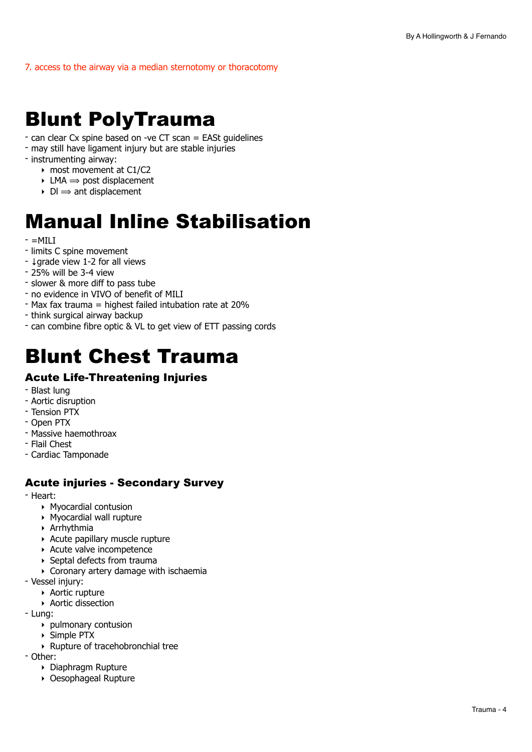7. access to the airway via a median sternotomy or thoracotomy

# <span id="page-3-0"></span>Blunt PolyTrauma

- can clear Cx spine based on -ve CT scan = EASt guidelines
- may still have ligament injury but are stable injuries
- instrumenting airway:
	- ‣ most movement at C1/C2
	- $\rightarrow$  LMA  $\rightarrow$  post displacement
	- $\triangleright$  DI  $\Rightarrow$  ant displacement

# <span id="page-3-1"></span>Manual Inline Stabilisation

- $=$ MILI
- limits C spine movement
- ↓grade view 1-2 for all views
- 25% will be 3-4 view
- slower & more diff to pass tube
- no evidence in VIVO of benefit of MILI
- Max fax trauma = highest failed intubation rate at 20%
- think surgical airway backup
- can combine fibre optic & VL to get view of ETT passing cords

# <span id="page-3-2"></span>Blunt Chest Trauma

#### Acute Life-Threatening Injuries

- Blast lung
- Aortic disruption
- Tension PTX
- Open PTX
- Massive haemothroax
- Flail Chest
- Cardiac Tamponade

#### Acute injuries - Secondary Survey

- Heart:

- ‣ Myocardial contusion
- ‣ Myocardial wall rupture
- ‣ Arrhythmia
- ‣ Acute papillary muscle rupture
- ‣ Acute valve incompetence
- ‣ Septal defects from trauma
- ‣ Coronary artery damage with ischaemia
- Vessel injury:
	- ‣ Aortic rupture
	- ‣ Aortic dissection
- Lung:
	- ‣ pulmonary contusion
	- ‣ Simple PTX
	- ‣ Rupture of tracehobronchial tree
- Other:
	- ‣ Diaphragm Rupture
	- ‣ Oesophageal Rupture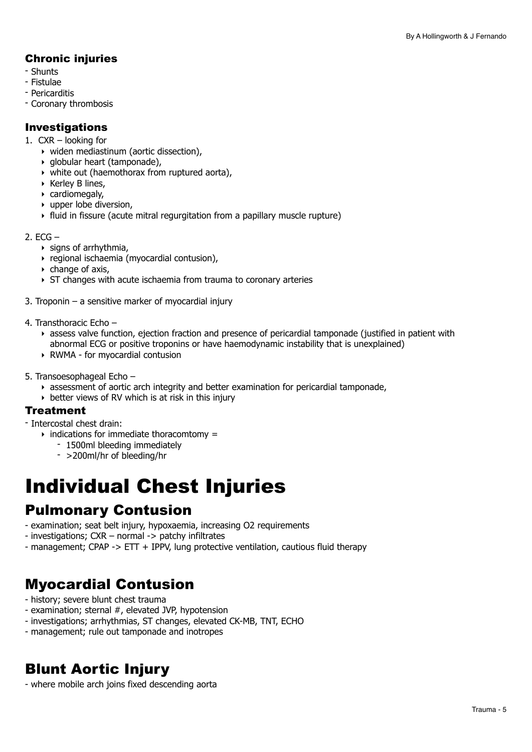#### Chronic injuries

- Shunts
- Fistulae
- Pericarditis
- Coronary thrombosis

#### Investigations

- 1. CXR looking for
	- ‣ widen mediastinum (aortic dissection),
	- ‣ globular heart (tamponade),
	- ‣ white out (haemothorax from ruptured aorta),
	- ‣ Kerley B lines,
	- ‣ cardiomegaly,
	- ‣ upper lobe diversion,
	- ‣ fluid in fissure (acute mitral regurgitation from a papillary muscle rupture)
- $2.$  ECG  $-$ 
	- $\rightarrow$  signs of arrhythmia,
	- ‣ regional ischaemia (myocardial contusion),
	- $\triangleright$  change of axis,
	- ‣ ST changes with acute ischaemia from trauma to coronary arteries
- 3. Troponin a sensitive marker of myocardial injury
- 4. Transthoracic Echo
	- ‣ assess valve function, ejection fraction and presence of pericardial tamponade (justified in patient with abnormal ECG or positive troponins or have haemodynamic instability that is unexplained)
	- ‣ RWMA for myocardial contusion
- 5. Transoesophageal Echo
	- ‣ assessment of aortic arch integrity and better examination for pericardial tamponade,
	- $\rightarrow$  better views of RV which is at risk in this injury

#### **Treatment**

- Intercostal chest drain:
	- $\rightarrow$  indications for immediate thoracomtomy =
		- 1500ml bleeding immediately
		- >200ml/hr of bleeding/hr

# <span id="page-4-0"></span>Individual Chest Injuries

### Pulmonary Contusion

- examination; seat belt injury, hypoxaemia, increasing O2 requirements
- investigations; CXR normal -> patchy infiltrates
- management; CPAP -> ETT + IPPV, lung protective ventilation, cautious fluid therapy

## Myocardial Contusion

- history; severe blunt chest trauma
- examination; sternal #, elevated JVP, hypotension
- investigations; arrhythmias, ST changes, elevated CK-MB, TNT, ECHO
- management; rule out tamponade and inotropes

## Blunt Aortic Injury

- where mobile arch joins fixed descending aorta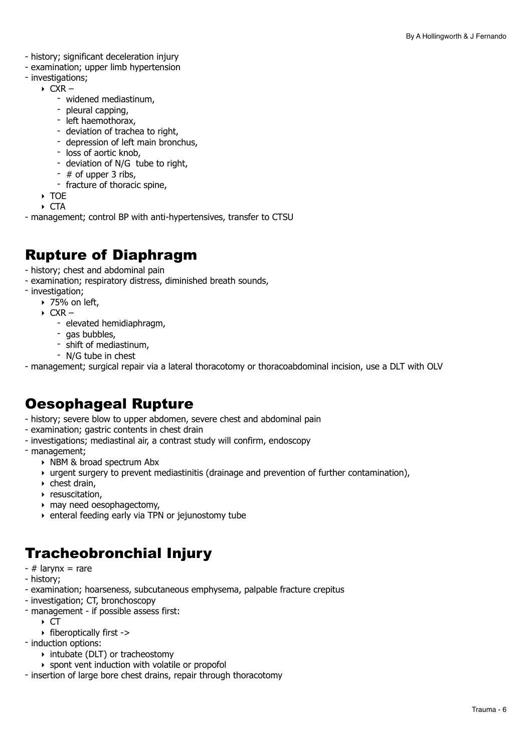- history; significant deceleration injury
- examination; upper limb hypertension
- investigations;
	- $\triangleright$  CXR
		- widened mediastinum,
		- pleural capping,
		- left haemothorax,
		- deviation of trachea to right,
		- depression of left main bronchus,
		- loss of aortic knob,
		- deviation of N/G tube to right.
		- # of upper 3 ribs,
		- fracture of thoracic spine,
	- ‣ TOE
- ‣ CTA - management; control BP with anti-hypertensives, transfer to CTSU

### Rupture of Diaphragm

- history; chest and abdominal pain
- examination; respiratory distress, diminished breath sounds,
- investigation;
	- $\rightarrow$  75% on left,
	- $\triangleright$  CXR
		- elevated hemidiaphragm,
		- gas bubbles,
		- shift of mediastinum,
		- N/G tube in chest

- management; surgical repair via a lateral thoracotomy or thoracoabdominal incision, use a DLT with OLV

### Oesophageal Rupture

- history; severe blow to upper abdomen, severe chest and abdominal pain
- examination; gastric contents in chest drain
- investigations; mediastinal air, a contrast study will confirm, endoscopy
- management;
	- ‣ NBM & broad spectrum Abx
	- ‣ urgent surgery to prevent mediastinitis (drainage and prevention of further contamination),
	- ‣ chest drain,
	- **P** resuscitation,
	- ‣ may need oesophagectomy,
	- ‣ enteral feeding early via TPN or jejunostomy tube

### Tracheobronchial Injury

- $-$  # larynx = rare
- history;
- examination; hoarseness, subcutaneous emphysema, palpable fracture crepitus
- investigation; CT, bronchoscopy
- management if possible assess first:
	- $\triangleright$  CT
	- ‣ fiberoptically first ->
- induction options:
	- ‣ intubate (DLT) or tracheostomy
	- ‣ spont vent induction with volatile or propofol
- insertion of large bore chest drains, repair through thoracotomy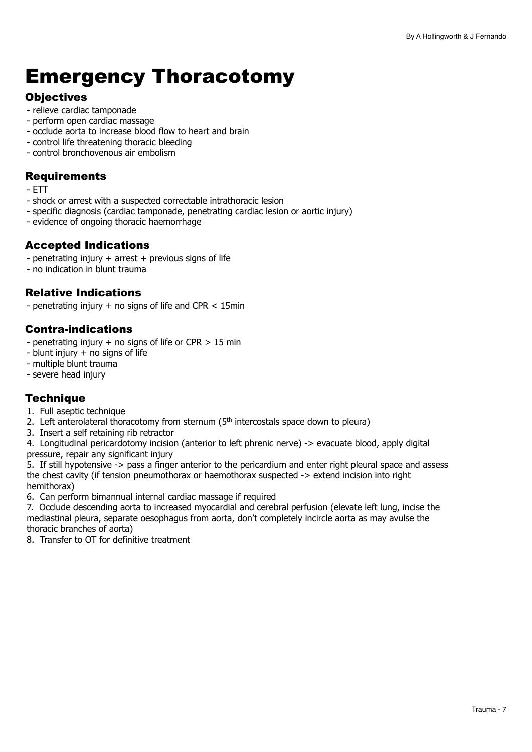# <span id="page-6-0"></span>Emergency Thoracotomy

#### **Objectives**

- relieve cardiac tamponade
- perform open cardiac massage
- occlude aorta to increase blood flow to heart and brain
- control life threatening thoracic bleeding
- control bronchovenous air embolism

#### **Requirements**

- ETT
- shock or arrest with a suspected correctable intrathoracic lesion
- specific diagnosis (cardiac tamponade, penetrating cardiac lesion or aortic injury)
- evidence of ongoing thoracic haemorrhage

#### Accepted Indications

- penetrating injury + arrest + previous signs of life
- no indication in blunt trauma

#### Relative Indications

- penetrating injury + no signs of life and CPR < 15min

#### Contra-indications

- penetrating injury  $+$  no signs of life or CPR  $> 15$  min
- $-$  blunt injury  $+$  no signs of life
- multiple blunt trauma
- severe head injury

#### **Technique**

- 1. Full aseptic technique
- 2. Left anterolateral thoracotomy from sternum  $(5<sup>th</sup>$  intercostals space down to pleura)
- 3. Insert a self retaining rib retractor

4. Longitudinal pericardotomy incision (anterior to left phrenic nerve) -> evacuate blood, apply digital pressure, repair any significant injury

5. If still hypotensive -> pass a finger anterior to the pericardium and enter right pleural space and assess the chest cavity (if tension pneumothorax or haemothorax suspected -> extend incision into right hemithorax)

6. Can perform bimannual internal cardiac massage if required

7. Occlude descending aorta to increased myocardial and cerebral perfusion (elevate left lung, incise the mediastinal pleura, separate oesophagus from aorta, don't completely incircle aorta as may avulse the thoracic branches of aorta)

8. Transfer to OT for definitive treatment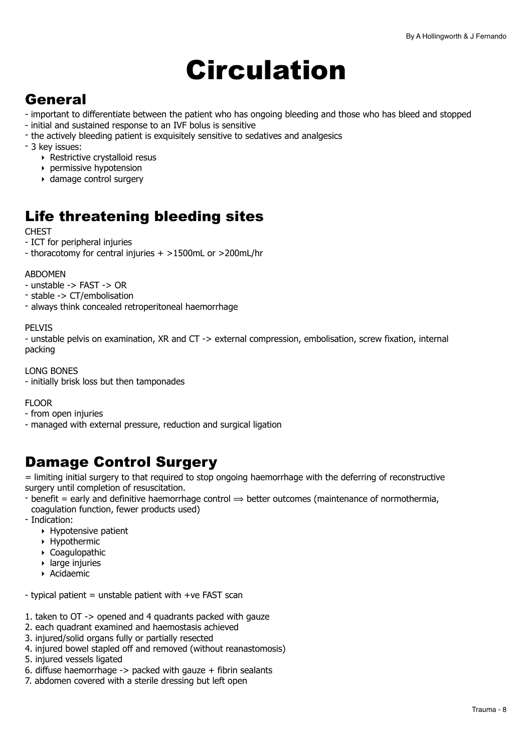# <span id="page-7-0"></span>Circulation

## **General**

- important to differentiate between the patient who has ongoing bleeding and those who has bleed and stopped
- initial and sustained response to an IVF bolus is sensitive
- the actively bleeding patient is exquisitely sensitive to sedatives and analgesics
- 3 key issues:
	- ‣ Restrictive crystalloid resus
	- ‣ permissive hypotension
	- ‣ damage control surgery

## Life threatening bleeding sites

**CHEST** 

- ICT for peripheral injuries
- thoracotomy for central injuries + >1500mL or >200mL/hr

#### ABDOMEN

- unstable -> FAST -> OR
- stable -> CT/embolisation
- always think concealed retroperitoneal haemorrhage

#### PELVIS

- unstable pelvis on examination, XR and CT -> external compression, embolisation, screw fixation, internal packing

#### LONG BONES

- initially brisk loss but then tamponades

#### FLOOR

- from open injuries
- managed with external pressure, reduction and surgical ligation

### Damage Control Surgery

= limiting initial surgery to that required to stop ongoing haemorrhage with the deferring of reconstructive surgery until completion of resuscitation.

- benefit = early and definitive haemorrhage control  $\Rightarrow$  better outcomes (maintenance of normothermia, coagulation function, fewer products used)
- Indication:
	- ‣ Hypotensive patient
	- ‣ Hypothermic
	- ‣ Coagulopathic
	- ‣ large injuries
	- ‣ Acidaemic
- $-$  typical patient = unstable patient with  $+ve$  FAST scan
- 1. taken to OT -> opened and 4 quadrants packed with gauze
- 2. each quadrant examined and haemostasis achieved
- 3. injured/solid organs fully or partially resected
- 4. injured bowel stapled off and removed (without reanastomosis)
- 5. injured vessels ligated
- 6. diffuse haemorrhage  $\rightarrow$  packed with gauze  $+$  fibrin sealants
- 7. abdomen covered with a sterile dressing but left open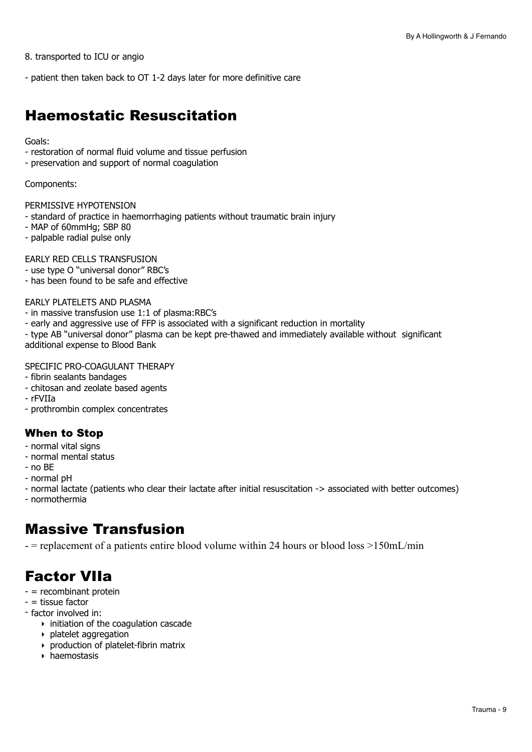8. transported to ICU or angio

- patient then taken back to OT 1-2 days later for more definitive care

### Haemostatic Resuscitation

#### Goals:

- restoration of normal fluid volume and tissue perfusion
- preservation and support of normal coagulation

#### Components:

PERMISSIVE HYPOTENSION

- standard of practice in haemorrhaging patients without traumatic brain injury
- MAP of 60mmHg; SBP 80
- palpable radial pulse only

EARLY RED CELLS TRANSFUSION

- use type O "universal donor" RBC's
- has been found to be safe and effective

#### EARLY PLATELETS AND PLASMA

- in massive transfusion use 1:1 of plasma:RBC's
- early and aggressive use of FFP is associated with a significant reduction in mortality
- type AB "universal donor" plasma can be kept pre-thawed and immediately available without significant additional expense to Blood Bank

#### SPECIFIC PRO-COAGULANT THERAPY

- fibrin sealants bandages
- chitosan and zeolate based agents
- rFVIIa
- prothrombin complex concentrates

#### When to Stop

- normal vital signs
- normal mental status
- no BE
- normal pH

- normal lactate (patients who clear their lactate after initial resuscitation -> associated with better outcomes)

- normothermia

### Massive Transfusion

- = replacement of a patients entire blood volume within 24 hours or blood loss >150mL/min

## Factor VIIa

- = recombinant protein
- = tissue factor
- factor involved in:
	- $\rightarrow$  initiation of the coagulation cascade
	- ‣ platelet aggregation
	- ‣ production of platelet-fibrin matrix
	- ‣ haemostasis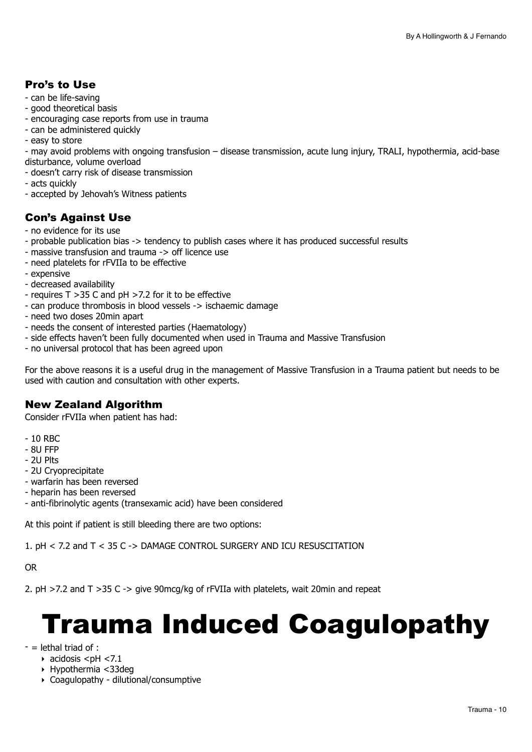#### Pro's to Use

- can be life-saving
- good theoretical basis
- encouraging case reports from use in trauma
- can be administered quickly
- easy to store

- may avoid problems with ongoing transfusion – disease transmission, acute lung injury, TRALI, hypothermia, acid-base disturbance, volume overload

- doesn't carry risk of disease transmission
- acts quickly
- accepted by Jehovah's Witness patients

#### Con's Against Use

- no evidence for its use
- probable publication bias -> tendency to publish cases where it has produced successful results
- massive transfusion and trauma -> off licence use
- need platelets for rFVIIa to be effective
- expensive
- decreased availability
- requires T >35 C and pH >7.2 for it to be effective
- can produce thrombosis in blood vessels -> ischaemic damage
- need two doses 20min apart
- needs the consent of interested parties (Haematology)
- side effects haven't been fully documented when used in Trauma and Massive Transfusion
- no universal protocol that has been agreed upon

For the above reasons it is a useful drug in the management of Massive Transfusion in a Trauma patient but needs to be used with caution and consultation with other experts.

#### New Zealand Algorithm

Consider rFVIIa when patient has had:

- 10 RBC
- 8U FFP
- 2U Plts
- 2U Cryoprecipitate
- warfarin has been reversed
- heparin has been reversed
- anti-fibrinolytic agents (transexamic acid) have been considered

At this point if patient is still bleeding there are two options:

1. pH < 7.2 and T < 35 C -> DAMAGE CONTROL SURGERY AND ICU RESUSCITATION

OR

2. pH >7.2 and T >35 C -> give 90mcg/kg of rFVIIa with platelets, wait 20min and repeat

# <span id="page-9-0"></span>Trauma Induced Coagulopathy

- $-$  = lethal triad of :
	- $\triangleright$  acidosis <pH <7.1
	- ‣ Hypothermia <33deg
	- ‣ Coagulopathy dilutional/consumptive